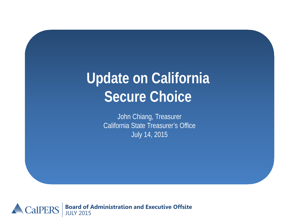# **Update on California Secure Choice**

John Chiang, Treasurer California State Treasurer's Office July 14, 2015

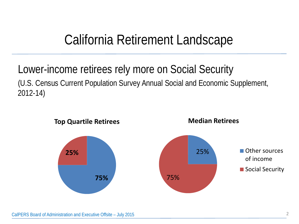### California Retirement Landscape

### Lower-income retirees rely more on Social Security (U.S. Census Current Population Survey Annual Social and Economic Supplement, 2012-14)



CalPERS Board of Administration and Executive Offsite – July 2015 2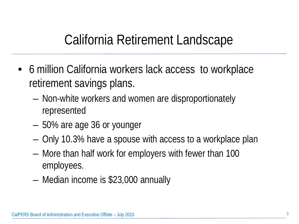### California Retirement Landscape

- 6 million California workers lack access to workplace retirement savings plans.
	- Non-white workers and women are disproportionately represented
	- 50% are age 36 or younger
	- Only 10.3% have a spouse with access to a workplace plan
	- More than half work for employers with fewer than 100 employees.
	- Median income is \$23,000 annually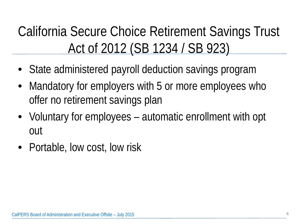# California Secure Choice Retirement Savings Trust Act of 2012 (SB 1234 / SB 923)

- State administered payroll deduction savings program
- Mandatory for employers with 5 or more employees who offer no retirement savings plan
- Voluntary for employees automatic enrollment with opt out
- Portable, low cost, low risk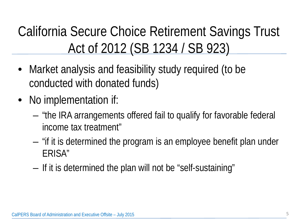# California Secure Choice Retirement Savings Trust Act of 2012 (SB 1234 / SB 923)

- Market analysis and feasibility study required (to be conducted with donated funds)
- No implementation if:
	- "the IRA arrangements offered fail to qualify for favorable federal income tax treatment"
	- "if it is determined the program is an employee benefit plan under ERISA"
	- If it is determined the plan will not be "self-sustaining"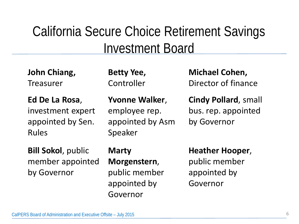### California Secure Choice Retirement Savings Investment Board

**John Chiang, Treasurer** 

**Ed De La Rosa**, investment expert appointed by Sen. Rules

**Bill Sokol**, public member appointed by Governor

**Betty Yee,**  Controller

**Yvonne Walker**, employee rep. appointed by Asm Speaker

**Michael Cohen,** Director of finance

**Cindy Pollard**, small bus. rep. appointed by Governor

#### **Marty**

**Morgenstern**, public member appointed by Governor

**Heather Hooper**, public member appointed by Governor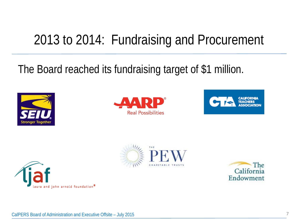## 2013 to 2014: Fundraising and Procurement

### The Board reached its fundraising target of \$1 million.











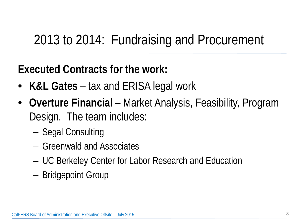## 2013 to 2014: Fundraising and Procurement

### **Executed Contracts for the work:**

- **K&L Gates**  tax and ERISA legal work
- **Overture Financial**  Market Analysis, Feasibility, Program Design. The team includes:
	- Segal Consulting
	- Greenwald and Associates
	- UC Berkeley Center for Labor Research and Education
	- Bridgepoint Group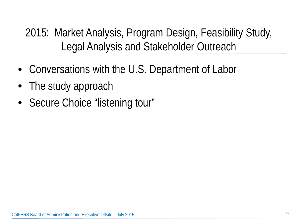2015: Market Analysis, Program Design, Feasibility Study, Legal Analysis and Stakeholder Outreach

- Conversations with the U.S. Department of Labor
- The study approach
- Secure Choice "listening tour"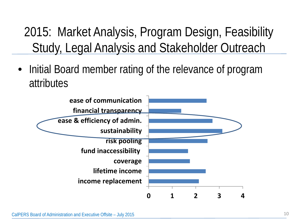2015: Market Analysis, Program Design, Feasibility Study, Legal Analysis and Stakeholder Outreach

• Initial Board member rating of the relevance of program attributes